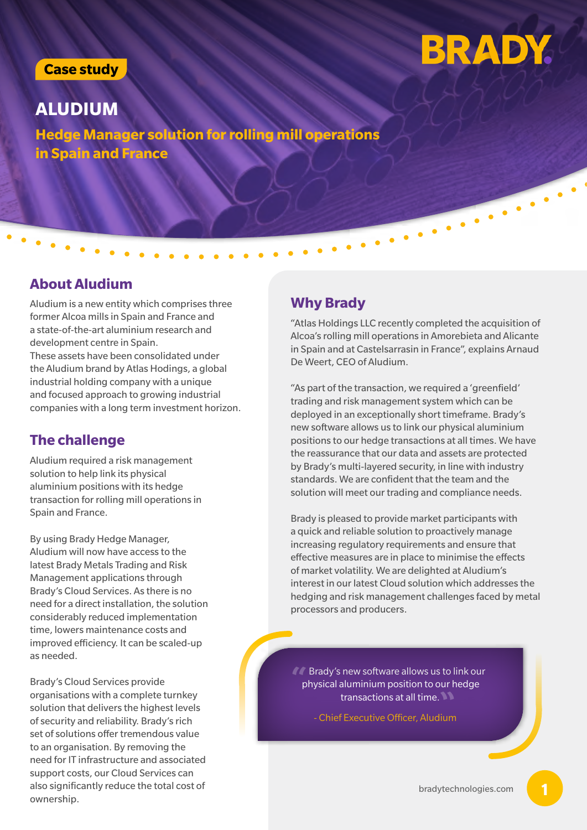#### **Case study**

# **BRADY.**

**ALUDIUM Hedge Manager solution for rolling mill operations in Spain and France**

#### **About Aludium**

Aludium is a new entity which comprises three **Why Brady** former Alcoa mills in Spain and France and a state-of-the-art aluminium research and development centre in Spain. These assets have been consolidated under the Aludium brand by Atlas Hodings, a global industrial holding company with a unique and focused approach to growing industrial companies with a long term investment horizon.

#### **The challenge**

Aludium required a risk management solution to help link its physical aluminium positions with its hedge transaction for rolling mill operations in Spain and France.

By using Brady Hedge Manager, Aludium will now have access to the latest Brady Metals Trading and Risk Management applications through Brady's Cloud Services. As there is no need for a direct installation, the solution considerably reduced implementation time, lowers maintenance costs and improved efficiency. It can be scaled-up as needed.

Brady's Cloud Services provide organisations with a complete turnkey solution that delivers the highest levels of security and reliability. Brady's rich set of solutions offer tremendous value to an organisation. By removing the need for IT infrastructure and associated support costs, our Cloud Services can also significantly reduce the total cost of ownership.

"Atlas Holdings LLC recently completed the acquisition of Alcoa's rolling mill operations in Amorebieta and Alicante in Spain and at Castelsarrasin in France", explains Arnaud De Weert, CEO of Aludium.

"As part of the transaction, we required a 'greenfield' trading and risk management system which can be deployed in an exceptionally short timeframe. Brady's new software allows us to link our physical aluminium positions to our hedge transactions at all times. We have the reassurance that our data and assets are protected by Brady's multi-layered security, in line with industry standards. We are confident that the team and the solution will meet our trading and compliance needs.

Brady is pleased to provide market participants with a quick and reliable solution to proactively manage increasing regulatory requirements and ensure that effective measures are in place to minimise the effects of market volatility. We are delighted at Aludium's interest in our latest Cloud solution which addresses the hedging and risk management challenges faced by metal processors and producers.

**888 Prady's new software allows us to link our physical aluminium position to our hedge** physical aluminium position to our hedge transactions at all time. **"**

- Chief Executive Officer, Aludium